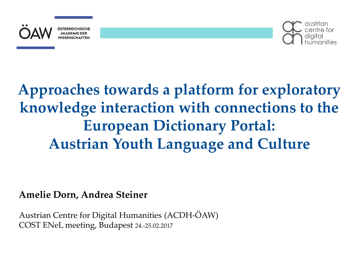



## **Approaches towards a platform for exploratory knowledge interaction with connections to the European Dictionary Portal: Austrian Youth Language and Culture**

#### **Amelie Dorn, Andrea Steiner**

Austrian Centre for Digital Humanities (ACDH-ÖAW) COST ENeL meeting, Budapest 24.-25.02.2017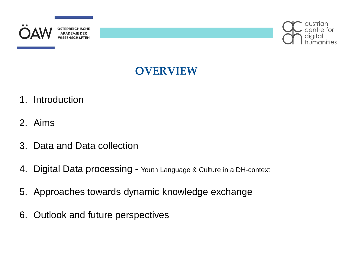



## **OVERVIEW**

- 1. Introduction
- 2. Aims
- 3. Data and Data collection
- 4. Digital Data processing Youth Language & Culture in a DH-context
- 5. Approaches towards dynamic knowledge exchange
- 6. Outlook and future perspectives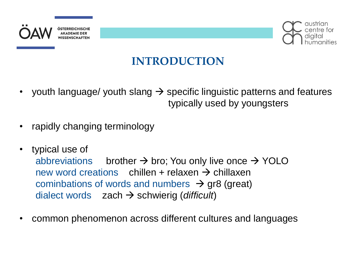



## **INTRODUCTION**

- youth language/ youth slang  $\rightarrow$  specific linguistic patterns and features typically used by youngsters
- rapidly changing terminology
- typical use of abbreviations brother  $\rightarrow$  bro; You only live once  $\rightarrow$  YOLO new word creations chillen + relaxen  $\rightarrow$  chillaxen cominbations of words and numbers  $\rightarrow$  gr8 (great) dialect words  $zach \rightarrow$  schwierig (*difficult*)
- common phenomenon across different cultures and languages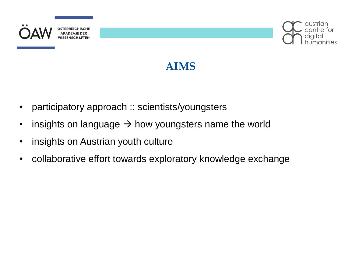



## **AIMS**

- participatory approach :: scientists/youngsters
- insights on language  $\rightarrow$  how youngsters name the world
- insights on Austrian youth culture
- collaborative effort towards exploratory knowledge exchange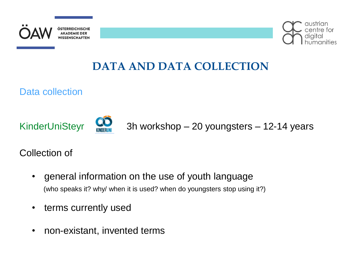



## **DATA AND DATA COLLECTION**

Data collection





KinderUniSteyr **King the Step 3h workshop – 20 youngsters – 12-14 years** 

Collection of

- general information on the use of youth language (who speaks it? why/ when it is used? when do youngsters stop using it?)
- terms currently used
- non-existant, invented terms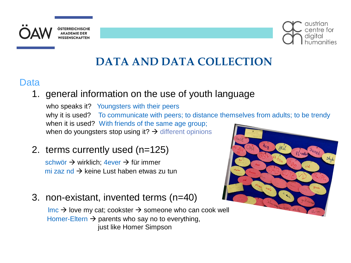



## **DATA AND DATA COLLECTION**

#### **Data**

1. general information on the use of youth language

who speaks it? Youngsters with their peers why it is used? To communicate with peers; to distance themselves from adults; to be trendy when it is used? With friends of the same age group; when do youngsters stop using it?  $\rightarrow$  different opinions

2. terms currently used (n=125)

schwör  $\rightarrow$  wirklich; 4ever  $\rightarrow$  für immer mi zaz nd  $\rightarrow$  keine Lust haben etwas zu tun

3. non-existant, invented terms (n=40)

 $\mathsf{Imc} \rightarrow \mathsf{love}$  my cat; cookster  $\rightarrow$  someone who can cook well Homer-Eltern  $\rightarrow$  parents who say no to everything, just like Homer Simpson

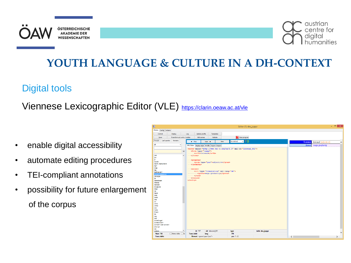



## **YOUTH LANGUAGE & CULTURE IN A DH-CONTEXT**

#### Digital tools

#### Viennese Lexicographic Editor (VLE) <https://clarin.oeaw.ac.at/vle>

- enable digital accessibility
- automate editing procedures
- TEI-compliant annotations
- possibility for future enlargement of the corpus

| $\mathbf{p}$                                                                                                                                                                                                                                                                                                                                                                      |                                                                                                                                                                                                                                                                                                                  |                                                                                                                                                                                                            |                             | Editor (1): deu_jugspr |              | $  \mathbb{Z}$ $\times$ |
|-----------------------------------------------------------------------------------------------------------------------------------------------------------------------------------------------------------------------------------------------------------------------------------------------------------------------------------------------------------------------------------|------------------------------------------------------------------------------------------------------------------------------------------------------------------------------------------------------------------------------------------------------------------------------------------------------------------|------------------------------------------------------------------------------------------------------------------------------------------------------------------------------------------------------------|-----------------------------|------------------------|--------------|-------------------------|
| Entries Config Actions                                                                                                                                                                                                                                                                                                                                                            |                                                                                                                                                                                                                                                                                                                  |                                                                                                                                                                                                            |                             |                        |              |                         |
| Display<br>Control                                                                                                                                                                                                                                                                                                                                                                | Log                                                                                                                                                                                                                                                                                                              | Update profile<br>Templates                                                                                                                                                                                |                             |                        |              |                         |
| Transform act. entry 2 editor<br>Save                                                                                                                                                                                                                                                                                                                                             |                                                                                                                                                                                                                                                                                                                  | Validate<br><b>Edit senses</b>                                                                                                                                                                             | Close program               |                        |              |                         |
| Versions<br>Last queries<br>Results                                                                                                                                                                                                                                                                                                                                               | $\blacktriangleleft$ Prev                                                                                                                                                                                                                                                                                        | New<br>Next P                                                                                                                                                                                              | $\nabla$ ? 0<br>(no status) |                        | <b>Lemma</b> | leiwand [adjective]     |
| all<br>$\checkmark$                                                                                                                                                                                                                                                                                                                                                               |                                                                                                                                                                                                                                                                                                                  | XML Editor Display style Profile Export / Import                                                                                                                                                           |                             |                        | <b>Sense</b> | mega großartig          |
| iwie<br>joo<br>jz<br>kawaii<br>Kevin; Alpha-Kevin<br>Kp?<br>krap<br>lag<br>läuft bei dir?<br>leiwand [adjective]<br>Life style<br>lol<br>mainstream<br><b>Memes</b><br>merkeln<br>mi zaz nd<br>Moin<br>nd<br>Nerd<br>nice<br>noob<br>nop<br><b>oc</b><br>OHA<br><b>OMG</b><br>00C<br>Opfa<br>Prank<br>RL.<br>rpg<br>sad<br>scheiß egal!<br>schleich dich!<br>schwör? oder schwör! | $_{\infty}$<br><form.type="lemma"><br/><math display="inline">\land</math><br/><math>\cdots</math><br/><math>\cdots</math><gramgrp><br/><math>\cdots</math></gramgrp><br/><math>\cdots</math><sense><br/><math>\cdots \cdots \times \text{crit}</math><br/><math>\cdots</math> </sense><br/></form.type="lemma"> | <entry xml:id="leiwond 001" xmlns="http://www.tei-c.org/ns/1.0"><br/>&lt; &lt; gram 'type="pos"&gt;adjective<br/><br/>cit 'type="translation" 'xml:lang="de"&gt;<br/><guote>mega.großartig</guote></entry> |                             |                        |              |                         |
| shut up!<br>sis<br>stalken                                                                                                                                                                                                                                                                                                                                                        | v<br>id 767                                                                                                                                                                                                                                                                                                      | sid leiwond 001                                                                                                                                                                                            | type                        | table deu jugspr       |              |                         |
| $\Box$ Keep data $\Box$ Sc<br><b>Num 156</b>                                                                                                                                                                                                                                                                                                                                      | <b>Trans.</b> table                                                                                                                                                                                                                                                                                              | lang                                                                                                                                                                                                       | FN                          |                        |              |                         |
| <b>Trans. table:</b>                                                                                                                                                                                                                                                                                                                                                              |                                                                                                                                                                                                                                                                                                                  | Element <gram type="pos"></gram>                                                                                                                                                                           | pos $7:32$                  |                        | $\langle$    | ⋗                       |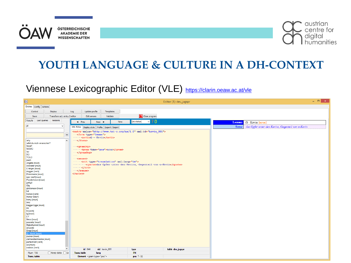



## **YOUTH LANGUAGE & CULTURE IN A DH-CONTEXT**

#### Viennese Lexicographic Editor (VLE) <https://clarin.oeaw.ac.at/vle>

| Entries Config Actions<br>Display<br>Log<br>Update profile<br>Templates<br>Control<br><b>S</b> Close program<br>Transform act. entry 2 editor<br>Validate<br>Edit senses<br>Save<br>Versions<br>Last queries<br>Results<br>$\nabla$ ? 0<br>(no status)<br>Next<br>New<br>$\blacktriangleleft$ Prev<br>Lemma $\Omega$ - Kevin [noun]<br>all<br>M<br><b>Sense</b><br>das Opfer unter den Kevins, Gegenteil von a-Kevin<br>XML Editor   Display style   Profile   Export / Import<br><entry :xml:id="kevin_001" :xmlns="http://www.tei-c.org/ns/1.0"><br/><math display="inline">_{\text{QQ}}</math><br/><torm .type="lemma"><br/>why<br/><math display="inline">\land</math><br/><math>\cdots</math> <br/>willst du mich verarschen?<br/>Wmd?<br/><math>\cdots</math><gramgrp><br/>WÜWÜ<br/>wv<br/><math>\cdots</math></gramgrp><br/><b>XO</b><br/><math display="inline">\sim 100</math><br/><b>YOLO</b><br/><math>\cdots</math> <sense><br/>zach<br/>Angella [noun]<br/><guote>das Opfer unter den Kevins, Gegenteil von a-Kevin</guote><br/>cookster [noun]<br/><math>\cdots \cdots \times</math>/cit&gt;<br/>Cränger [noun]<br/><math>\cdots</math> </sense><br/>doggen [verb]<br/><math>\langle</math>/entry&gt;<br/>Entenmama [noun]<br/>epic beef [noun]<br/>Flunderkotze [noun]<br/>gell/gö<br/>Glg<br/>glicksmasn [noun]<br/>hd<br/>homen [verb]<br/>Homer-Eltern<br/>homy [noun]<br/><b>Ilmc</b><br/>Kagge/Ogge [noun]<br/>kb<br/>Ib [verb]<br/>Ig [noun]<br/>LY.<br/>Neco [noun]<br/>popositz [noun]<br/>Ratzefummel [noun]<br/>sl [verb]<br/>Snapi [noun]<br/>Ω - Kevin [noun]<br/>zucker [noun]<br/>Zahnarztschnecke [noun]<br/>partschwim [verb]<br/>us [noun]<br/>swinkin [verb]<br/><math display="inline">\checkmark</math><br/>id 844<br/>sid kevin_001<br/>table deu_jugspr<br/><b>type</b><br/><math>\Box</math> Keep data <math>\Box</math> Sc<br/><b>FN</b><br/>Num 156<br/><b>Trans. table</b><br/>lang<br/><b>Trans. table:</b><br/>Element <gram type="pos"><br/>pos <math>7:32</math></gram></torm></entry> | $\boxed{\underline{\mathbf{D} \mathbf{I}}}$ |  |  |  |  |  | Editor (1): deu_jugspr |  |  | $ \Box$ $\times$ |
|-------------------------------------------------------------------------------------------------------------------------------------------------------------------------------------------------------------------------------------------------------------------------------------------------------------------------------------------------------------------------------------------------------------------------------------------------------------------------------------------------------------------------------------------------------------------------------------------------------------------------------------------------------------------------------------------------------------------------------------------------------------------------------------------------------------------------------------------------------------------------------------------------------------------------------------------------------------------------------------------------------------------------------------------------------------------------------------------------------------------------------------------------------------------------------------------------------------------------------------------------------------------------------------------------------------------------------------------------------------------------------------------------------------------------------------------------------------------------------------------------------------------------------------------------------------------------------------------------------------------------------------------------------------------------------------------------------------------------------------------------------------------------------------------------------------------------------------------------------------------------------------------------------------------------------------------------------------------------------------------------------------------------------------|---------------------------------------------|--|--|--|--|--|------------------------|--|--|------------------|
|                                                                                                                                                                                                                                                                                                                                                                                                                                                                                                                                                                                                                                                                                                                                                                                                                                                                                                                                                                                                                                                                                                                                                                                                                                                                                                                                                                                                                                                                                                                                                                                                                                                                                                                                                                                                                                                                                                                                                                                                                                     |                                             |  |  |  |  |  |                        |  |  |                  |
|                                                                                                                                                                                                                                                                                                                                                                                                                                                                                                                                                                                                                                                                                                                                                                                                                                                                                                                                                                                                                                                                                                                                                                                                                                                                                                                                                                                                                                                                                                                                                                                                                                                                                                                                                                                                                                                                                                                                                                                                                                     |                                             |  |  |  |  |  |                        |  |  |                  |
|                                                                                                                                                                                                                                                                                                                                                                                                                                                                                                                                                                                                                                                                                                                                                                                                                                                                                                                                                                                                                                                                                                                                                                                                                                                                                                                                                                                                                                                                                                                                                                                                                                                                                                                                                                                                                                                                                                                                                                                                                                     |                                             |  |  |  |  |  |                        |  |  |                  |
|                                                                                                                                                                                                                                                                                                                                                                                                                                                                                                                                                                                                                                                                                                                                                                                                                                                                                                                                                                                                                                                                                                                                                                                                                                                                                                                                                                                                                                                                                                                                                                                                                                                                                                                                                                                                                                                                                                                                                                                                                                     |                                             |  |  |  |  |  |                        |  |  |                  |
|                                                                                                                                                                                                                                                                                                                                                                                                                                                                                                                                                                                                                                                                                                                                                                                                                                                                                                                                                                                                                                                                                                                                                                                                                                                                                                                                                                                                                                                                                                                                                                                                                                                                                                                                                                                                                                                                                                                                                                                                                                     |                                             |  |  |  |  |  |                        |  |  |                  |
|                                                                                                                                                                                                                                                                                                                                                                                                                                                                                                                                                                                                                                                                                                                                                                                                                                                                                                                                                                                                                                                                                                                                                                                                                                                                                                                                                                                                                                                                                                                                                                                                                                                                                                                                                                                                                                                                                                                                                                                                                                     |                                             |  |  |  |  |  |                        |  |  |                  |
|                                                                                                                                                                                                                                                                                                                                                                                                                                                                                                                                                                                                                                                                                                                                                                                                                                                                                                                                                                                                                                                                                                                                                                                                                                                                                                                                                                                                                                                                                                                                                                                                                                                                                                                                                                                                                                                                                                                                                                                                                                     |                                             |  |  |  |  |  |                        |  |  |                  |
|                                                                                                                                                                                                                                                                                                                                                                                                                                                                                                                                                                                                                                                                                                                                                                                                                                                                                                                                                                                                                                                                                                                                                                                                                                                                                                                                                                                                                                                                                                                                                                                                                                                                                                                                                                                                                                                                                                                                                                                                                                     |                                             |  |  |  |  |  |                        |  |  |                  |
|                                                                                                                                                                                                                                                                                                                                                                                                                                                                                                                                                                                                                                                                                                                                                                                                                                                                                                                                                                                                                                                                                                                                                                                                                                                                                                                                                                                                                                                                                                                                                                                                                                                                                                                                                                                                                                                                                                                                                                                                                                     |                                             |  |  |  |  |  |                        |  |  |                  |
|                                                                                                                                                                                                                                                                                                                                                                                                                                                                                                                                                                                                                                                                                                                                                                                                                                                                                                                                                                                                                                                                                                                                                                                                                                                                                                                                                                                                                                                                                                                                                                                                                                                                                                                                                                                                                                                                                                                                                                                                                                     |                                             |  |  |  |  |  |                        |  |  |                  |
|                                                                                                                                                                                                                                                                                                                                                                                                                                                                                                                                                                                                                                                                                                                                                                                                                                                                                                                                                                                                                                                                                                                                                                                                                                                                                                                                                                                                                                                                                                                                                                                                                                                                                                                                                                                                                                                                                                                                                                                                                                     |                                             |  |  |  |  |  |                        |  |  |                  |
|                                                                                                                                                                                                                                                                                                                                                                                                                                                                                                                                                                                                                                                                                                                                                                                                                                                                                                                                                                                                                                                                                                                                                                                                                                                                                                                                                                                                                                                                                                                                                                                                                                                                                                                                                                                                                                                                                                                                                                                                                                     |                                             |  |  |  |  |  |                        |  |  |                  |
|                                                                                                                                                                                                                                                                                                                                                                                                                                                                                                                                                                                                                                                                                                                                                                                                                                                                                                                                                                                                                                                                                                                                                                                                                                                                                                                                                                                                                                                                                                                                                                                                                                                                                                                                                                                                                                                                                                                                                                                                                                     |                                             |  |  |  |  |  |                        |  |  |                  |
|                                                                                                                                                                                                                                                                                                                                                                                                                                                                                                                                                                                                                                                                                                                                                                                                                                                                                                                                                                                                                                                                                                                                                                                                                                                                                                                                                                                                                                                                                                                                                                                                                                                                                                                                                                                                                                                                                                                                                                                                                                     |                                             |  |  |  |  |  |                        |  |  |                  |
|                                                                                                                                                                                                                                                                                                                                                                                                                                                                                                                                                                                                                                                                                                                                                                                                                                                                                                                                                                                                                                                                                                                                                                                                                                                                                                                                                                                                                                                                                                                                                                                                                                                                                                                                                                                                                                                                                                                                                                                                                                     |                                             |  |  |  |  |  |                        |  |  |                  |
|                                                                                                                                                                                                                                                                                                                                                                                                                                                                                                                                                                                                                                                                                                                                                                                                                                                                                                                                                                                                                                                                                                                                                                                                                                                                                                                                                                                                                                                                                                                                                                                                                                                                                                                                                                                                                                                                                                                                                                                                                                     |                                             |  |  |  |  |  |                        |  |  |                  |
|                                                                                                                                                                                                                                                                                                                                                                                                                                                                                                                                                                                                                                                                                                                                                                                                                                                                                                                                                                                                                                                                                                                                                                                                                                                                                                                                                                                                                                                                                                                                                                                                                                                                                                                                                                                                                                                                                                                                                                                                                                     |                                             |  |  |  |  |  |                        |  |  |                  |
|                                                                                                                                                                                                                                                                                                                                                                                                                                                                                                                                                                                                                                                                                                                                                                                                                                                                                                                                                                                                                                                                                                                                                                                                                                                                                                                                                                                                                                                                                                                                                                                                                                                                                                                                                                                                                                                                                                                                                                                                                                     |                                             |  |  |  |  |  |                        |  |  |                  |
|                                                                                                                                                                                                                                                                                                                                                                                                                                                                                                                                                                                                                                                                                                                                                                                                                                                                                                                                                                                                                                                                                                                                                                                                                                                                                                                                                                                                                                                                                                                                                                                                                                                                                                                                                                                                                                                                                                                                                                                                                                     |                                             |  |  |  |  |  |                        |  |  |                  |
|                                                                                                                                                                                                                                                                                                                                                                                                                                                                                                                                                                                                                                                                                                                                                                                                                                                                                                                                                                                                                                                                                                                                                                                                                                                                                                                                                                                                                                                                                                                                                                                                                                                                                                                                                                                                                                                                                                                                                                                                                                     |                                             |  |  |  |  |  |                        |  |  |                  |
|                                                                                                                                                                                                                                                                                                                                                                                                                                                                                                                                                                                                                                                                                                                                                                                                                                                                                                                                                                                                                                                                                                                                                                                                                                                                                                                                                                                                                                                                                                                                                                                                                                                                                                                                                                                                                                                                                                                                                                                                                                     |                                             |  |  |  |  |  |                        |  |  |                  |
|                                                                                                                                                                                                                                                                                                                                                                                                                                                                                                                                                                                                                                                                                                                                                                                                                                                                                                                                                                                                                                                                                                                                                                                                                                                                                                                                                                                                                                                                                                                                                                                                                                                                                                                                                                                                                                                                                                                                                                                                                                     |                                             |  |  |  |  |  |                        |  |  |                  |
|                                                                                                                                                                                                                                                                                                                                                                                                                                                                                                                                                                                                                                                                                                                                                                                                                                                                                                                                                                                                                                                                                                                                                                                                                                                                                                                                                                                                                                                                                                                                                                                                                                                                                                                                                                                                                                                                                                                                                                                                                                     |                                             |  |  |  |  |  |                        |  |  |                  |
|                                                                                                                                                                                                                                                                                                                                                                                                                                                                                                                                                                                                                                                                                                                                                                                                                                                                                                                                                                                                                                                                                                                                                                                                                                                                                                                                                                                                                                                                                                                                                                                                                                                                                                                                                                                                                                                                                                                                                                                                                                     |                                             |  |  |  |  |  |                        |  |  |                  |
|                                                                                                                                                                                                                                                                                                                                                                                                                                                                                                                                                                                                                                                                                                                                                                                                                                                                                                                                                                                                                                                                                                                                                                                                                                                                                                                                                                                                                                                                                                                                                                                                                                                                                                                                                                                                                                                                                                                                                                                                                                     |                                             |  |  |  |  |  |                        |  |  |                  |
|                                                                                                                                                                                                                                                                                                                                                                                                                                                                                                                                                                                                                                                                                                                                                                                                                                                                                                                                                                                                                                                                                                                                                                                                                                                                                                                                                                                                                                                                                                                                                                                                                                                                                                                                                                                                                                                                                                                                                                                                                                     |                                             |  |  |  |  |  |                        |  |  |                  |
|                                                                                                                                                                                                                                                                                                                                                                                                                                                                                                                                                                                                                                                                                                                                                                                                                                                                                                                                                                                                                                                                                                                                                                                                                                                                                                                                                                                                                                                                                                                                                                                                                                                                                                                                                                                                                                                                                                                                                                                                                                     |                                             |  |  |  |  |  |                        |  |  |                  |
|                                                                                                                                                                                                                                                                                                                                                                                                                                                                                                                                                                                                                                                                                                                                                                                                                                                                                                                                                                                                                                                                                                                                                                                                                                                                                                                                                                                                                                                                                                                                                                                                                                                                                                                                                                                                                                                                                                                                                                                                                                     |                                             |  |  |  |  |  |                        |  |  |                  |
|                                                                                                                                                                                                                                                                                                                                                                                                                                                                                                                                                                                                                                                                                                                                                                                                                                                                                                                                                                                                                                                                                                                                                                                                                                                                                                                                                                                                                                                                                                                                                                                                                                                                                                                                                                                                                                                                                                                                                                                                                                     |                                             |  |  |  |  |  |                        |  |  |                  |
|                                                                                                                                                                                                                                                                                                                                                                                                                                                                                                                                                                                                                                                                                                                                                                                                                                                                                                                                                                                                                                                                                                                                                                                                                                                                                                                                                                                                                                                                                                                                                                                                                                                                                                                                                                                                                                                                                                                                                                                                                                     |                                             |  |  |  |  |  |                        |  |  |                  |
|                                                                                                                                                                                                                                                                                                                                                                                                                                                                                                                                                                                                                                                                                                                                                                                                                                                                                                                                                                                                                                                                                                                                                                                                                                                                                                                                                                                                                                                                                                                                                                                                                                                                                                                                                                                                                                                                                                                                                                                                                                     |                                             |  |  |  |  |  |                        |  |  |                  |
|                                                                                                                                                                                                                                                                                                                                                                                                                                                                                                                                                                                                                                                                                                                                                                                                                                                                                                                                                                                                                                                                                                                                                                                                                                                                                                                                                                                                                                                                                                                                                                                                                                                                                                                                                                                                                                                                                                                                                                                                                                     |                                             |  |  |  |  |  |                        |  |  |                  |
|                                                                                                                                                                                                                                                                                                                                                                                                                                                                                                                                                                                                                                                                                                                                                                                                                                                                                                                                                                                                                                                                                                                                                                                                                                                                                                                                                                                                                                                                                                                                                                                                                                                                                                                                                                                                                                                                                                                                                                                                                                     |                                             |  |  |  |  |  |                        |  |  |                  |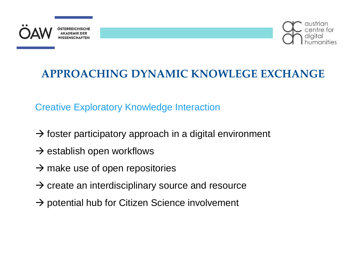



## **APPROACHING DYNAMIC KNOWLEGE EXCHANGE**

Creative Exploratory Knowledge Interaction

- $\rightarrow$  foster participatory approach in a digital environment
- $\rightarrow$  establish open workflows
- $\rightarrow$  make use of open repositories
- $\rightarrow$  create an interdisciplinary source and resource
- $\rightarrow$  potential hub for Citizen Science involvement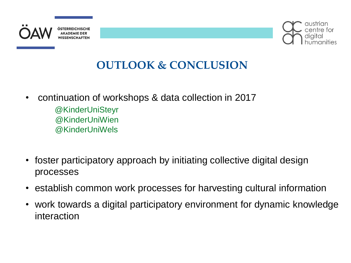



## **OUTLOOK & CONCLUSION**

- continuation of workshops & data collection in 2017
	- @KinderUniSteyr @KinderUniWien @KinderUniWels
- foster participatory approach by initiating collective digital design processes
- establish common work processes for harvesting cultural information
- work towards a digital participatory environment for dynamic knowledge interaction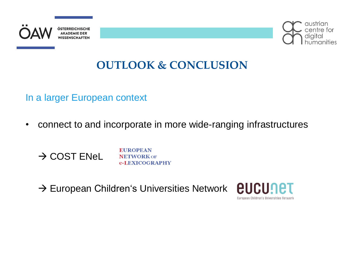



## **OUTLOOK & CONCLUSION**

In a larger European context

• connect to and incorporate in more wide-ranging infrastructures

 $\rightarrow$  COST ENeL

**EUROPEAN NETWORK OF** e-LEXICOGRAPHY

 $\rightarrow$  European Children's Universities Network

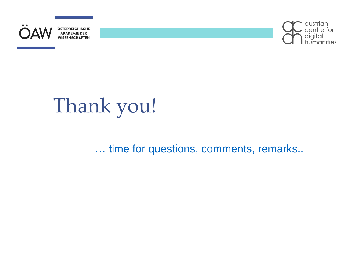



# Thank you!

… time for questions, comments, remarks..